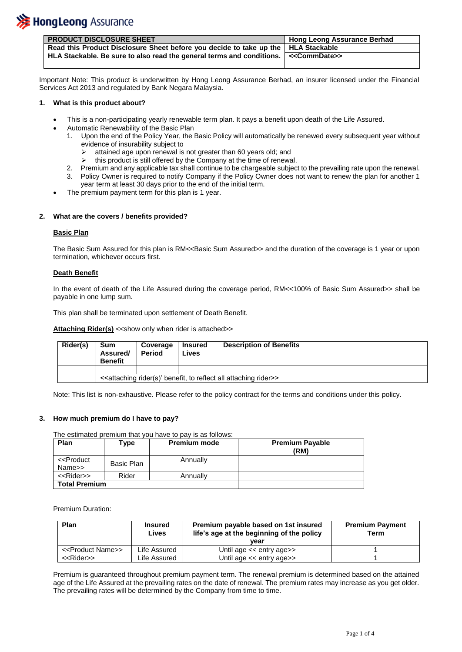

| <b>PRODUCT DISCLOSURE SHEET</b>                                                       | <sup>1</sup> Hong Leong Assurance Berhad |
|---------------------------------------------------------------------------------------|------------------------------------------|
| Read this Product Disclosure Sheet before you decide to take up the   HLA Stackable   |                                          |
| HLA Stackable. Be sure to also read the general terms and conditions.   << CommDate>> |                                          |

Important Note: This product is underwritten by Hong Leong Assurance Berhad, an insurer licensed under the Financial Services Act 2013 and regulated by Bank Negara Malaysia.

# **1. What is this product about?**

- This is a non-participating yearly renewable term plan. It pays a benefit upon death of the Life Assured.
- Automatic Renewability of the Basic Plan
	- 1. Upon the end of the Policy Year, the Basic Policy will automatically be renewed every subsequent year without evidence of insurability subject to
		- attained age upon renewal is not greater than 60 years old; and
		- $\triangleright$  this product is still offered by the Company at the time of renewal.
	- 2. Premium and any applicable tax shall continue to be chargeable subject to the prevailing rate upon the renewal.
	- 3. Policy Owner is required to notify Company if the Policy Owner does not want to renew the plan for another 1 year term at least 30 days prior to the end of the initial term.
- The premium payment term for this plan is 1 year.

# **2. What are the covers / benefits provided?**

# **Basic Plan**

The Basic Sum Assured for this plan is RM<<Basic Sum Assured>> and the duration of the coverage is 1 year or upon termination, whichever occurs first.

# **Death Benefit**

In the event of death of the Life Assured during the coverage period, RM<<100% of Basic Sum Assured>> shall be payable in one lump sum.

This plan shall be terminated upon settlement of Death Benefit.

**Attaching Rider(s)** << show only when rider is attached>>

| Rider(s) | Sum<br>Assured/<br><b>Benefit</b>                                                                    | Coverage<br><b>Period</b> | <b>Insured</b><br>Lives | <b>Description of Benefits</b> |
|----------|------------------------------------------------------------------------------------------------------|---------------------------|-------------------------|--------------------------------|
|          |                                                                                                      |                           |                         |                                |
|          | < <attaching all="" attaching="" benefit,="" reflect="" rider="" rider(s)'="" to="">&gt;</attaching> |                           |                         |                                |

Note: This list is non-exhaustive. Please refer to the policy contract for the terms and conditions under this policy.

# **3. How much premium do I have to pay?**

# The estimated premium that you have to pay is as follows:

| Plan                                    | ⊺vpe       | <b>Premium mode</b> | <b>Premium Payable</b><br>(RM) |
|-----------------------------------------|------------|---------------------|--------------------------------|
| < <product<br>Name&gt;&gt;</product<br> | Basic Plan | Annually            |                                |
| < <rider>&gt;</rider>                   | Rider      | Annually            |                                |
| <b>Total Premium</b>                    |            |                     |                                |

Premium Duration:

| Plan                              | <b>Insured</b><br>Lives | Premium payable based on 1st insured<br>life's age at the beginning of the policy<br>vear | <b>Premium Payment</b><br>Term |
|-----------------------------------|-------------------------|-------------------------------------------------------------------------------------------|--------------------------------|
| < <product name="">&gt;</product> | Life Assured            | Until age << entry age>>                                                                  |                                |
| < <rider>&gt;</rider>             | Life Assured            | Until age $<<$ entry age $>>$                                                             |                                |

Premium is guaranteed throughout premium payment term. The renewal premium is determined based on the attained age of the Life Assured at the prevailing rates on the date of renewal. The premium rates may increase as you get older. The prevailing rates will be determined by the Company from time to time.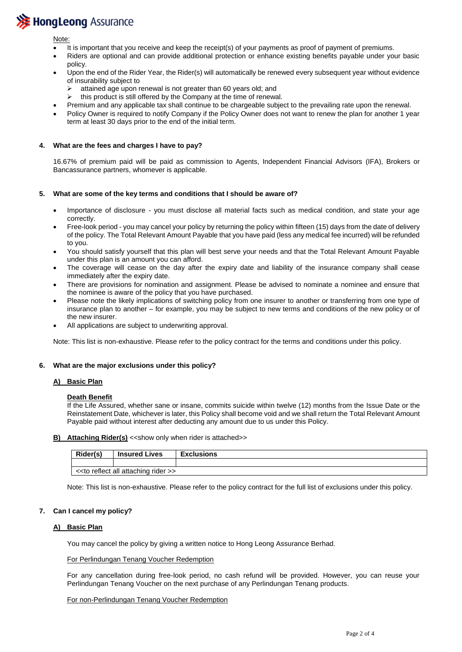# **>>** Hong Leong Assurance

Note:

- It is important that you receive and keep the receipt(s) of your payments as proof of payment of premiums.
- Riders are optional and can provide additional protection or enhance existing benefits payable under your basic policy.
- Upon the end of the Rider Year, the Rider(s) will automatically be renewed every subsequent year without evidence of insurability subject to
	- $\triangleright$  attained age upon renewal is not greater than 60 years old; and
	- $\triangleright$  this product is still offered by the Company at the time of renewal.
	- Premium and any applicable tax shall continue to be chargeable subject to the prevailing rate upon the renewal.
- Policy Owner is required to notify Company if the Policy Owner does not want to renew the plan for another 1 year term at least 30 days prior to the end of the initial term.

#### **4. What are the fees and charges I have to pay?**

16.67% of premium paid will be paid as commission to Agents, Independent Financial Advisors (IFA), Brokers or Bancassurance partners, whomever is applicable.

#### **5. What are some of the key terms and conditions that I should be aware of?**

- Importance of disclosure you must disclose all material facts such as medical condition, and state your age correctly.
- Free-look period you may cancel your policy by returning the policy within fifteen (15) days from the date of delivery of the policy. The Total Relevant Amount Payable that you have paid (less any medical fee incurred) will be refunded to you.
- You should satisfy yourself that this plan will best serve your needs and that the Total Relevant Amount Payable under this plan is an amount you can afford.
- The coverage will cease on the day after the expiry date and liability of the insurance company shall cease immediately after the expiry date.
- There are provisions for nomination and assignment. Please be advised to nominate a nominee and ensure that the nominee is aware of the policy that you have purchased.
- Please note the likely implications of switching policy from one insurer to another or transferring from one type of insurance plan to another – for example, you may be subject to new terms and conditions of the new policy or of the new insurer.
- All applications are subject to underwriting approval.

Note: This list is non-exhaustive. Please refer to the policy contract for the terms and conditions under this policy.

# **6. What are the major exclusions under this policy?**

#### **A) Basic Plan**

# **Death Benefit**

If the Life Assured, whether sane or insane, commits suicide within twelve (12) months from the Issue Date or the Reinstatement Date, whichever is later, this Policy shall become void and we shall return the Total Relevant Amount Payable paid without interest after deducting any amount due to us under this Policy.

**B)** Attaching Rider(s) << show only when rider is attached>>

| Rider(s)                             | <b>Insured Lives</b> | <b>Exclusions</b> |
|--------------------------------------|----------------------|-------------------|
|                                      |                      |                   |
| << to reflect all attaching rider >> |                      |                   |

Note: This list is non-exhaustive. Please refer to the policy contract for the full list of exclusions under this policy.

# **7. Can I cancel my policy?**

# **A) Basic Plan**

You may cancel the policy by giving a written notice to Hong Leong Assurance Berhad.

#### For Perlindungan Tenang Voucher Redemption

For any cancellation during free-look period, no cash refund will be provided. However, you can reuse your Perlindungan Tenang Voucher on the next purchase of any Perlindungan Tenang products.

#### For non-Perlindungan Tenang Voucher Redemption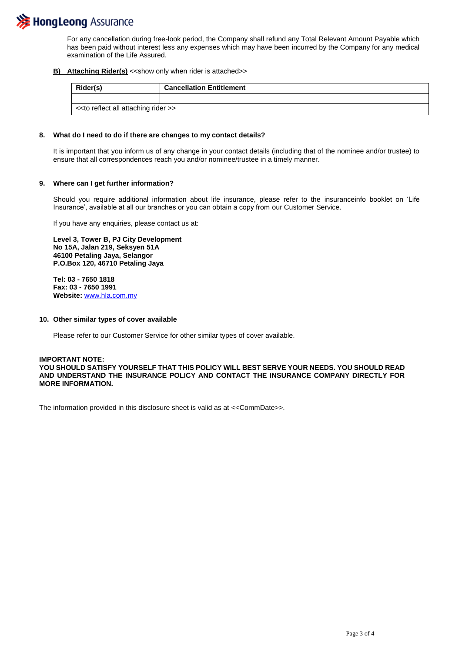

For any cancellation during free-look period, the Company shall refund any Total Relevant Amount Payable which has been paid without interest less any expenses which may have been incurred by the Company for any medical examination of the Life Assured.

**B)** Attaching Rider(s) << show only when rider is attached>>

|                                      | Rider(s) | <b>Cancellation Entitlement</b> |  |  |
|--------------------------------------|----------|---------------------------------|--|--|
|                                      |          |                                 |  |  |
| << to reflect all attaching rider >> |          |                                 |  |  |

#### **8. What do I need to do if there are changes to my contact details?**

It is important that you inform us of any change in your contact details (including that of the nominee and/or trustee) to ensure that all correspondences reach you and/or nominee/trustee in a timely manner.

#### **9. Where can I get further information?**

Should you require additional information about life insurance, please refer to the insuranceinfo booklet on 'Life Insurance', available at all our branches or you can obtain a copy from our Customer Service.

If you have any enquiries, please contact us at:

**Level 3, Tower B, PJ City Development No 15A, Jalan 219, Seksyen 51A 46100 Petaling Jaya, Selangor P.O.Box 120, 46710 Petaling Jaya**

**Tel: 03 - 7650 1818 Fax: 03 - 7650 1991 Website:** [www.hla.com.my](http://www.hla.com.my/) 

#### **10. Other similar types of cover available**

Please refer to our Customer Service for other similar types of cover available.

**IMPORTANT NOTE: YOU SHOULD SATISFY YOURSELF THAT THIS POLICY WILL BEST SERVE YOUR NEEDS. YOU SHOULD READ AND UNDERSTAND THE INSURANCE POLICY AND CONTACT THE INSURANCE COMPANY DIRECTLY FOR MORE INFORMATION.**

The information provided in this disclosure sheet is valid as at <<CommDate>>.